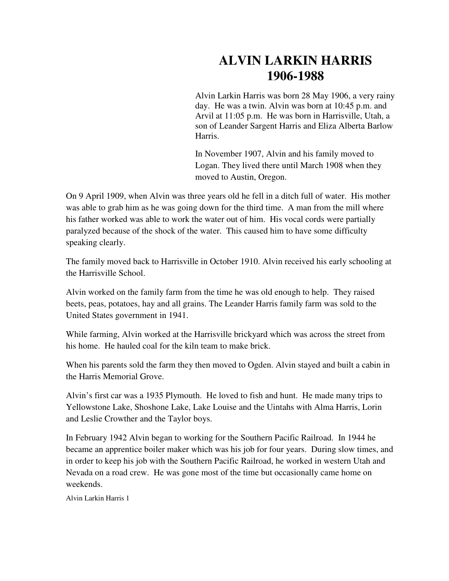## **ALVIN LARKIN HARRIS 1906-1988**

Alvin Larkin Harris was born 28 May 1906, a very rainy day. He was a twin. Alvin was born at 10:45 p.m. and Arvil at 11:05 p.m. He was born in Harrisville, Utah, a son of Leander Sargent Harris and Eliza Alberta Barlow Harris.

In November 1907, Alvin and his family moved to Logan. They lived there until March 1908 when they moved to Austin, Oregon.

On 9 April 1909, when Alvin was three years old he fell in a ditch full of water. His mother was able to grab him as he was going down for the third time. A man from the mill where his father worked was able to work the water out of him. His vocal cords were partially paralyzed because of the shock of the water. This caused him to have some difficulty speaking clearly.

The family moved back to Harrisville in October 1910. Alvin received his early schooling at the Harrisville School.

Alvin worked on the family farm from the time he was old enough to help. They raised beets, peas, potatoes, hay and all grains. The Leander Harris family farm was sold to the United States government in 1941.

While farming, Alvin worked at the Harrisville brickyard which was across the street from his home. He hauled coal for the kiln team to make brick.

When his parents sold the farm they then moved to Ogden. Alvin stayed and built a cabin in the Harris Memorial Grove.

Alvin's first car was a 1935 Plymouth. He loved to fish and hunt. He made many trips to Yellowstone Lake, Shoshone Lake, Lake Louise and the Uintahs with Alma Harris, Lorin and Leslie Crowther and the Taylor boys.

In February 1942 Alvin began to working for the Southern Pacific Railroad. In 1944 he became an apprentice boiler maker which was his job for four years. During slow times, and in order to keep his job with the Southern Pacific Railroad, he worked in western Utah and Nevada on a road crew. He was gone most of the time but occasionally came home on weekends.

Alvin Larkin Harris 1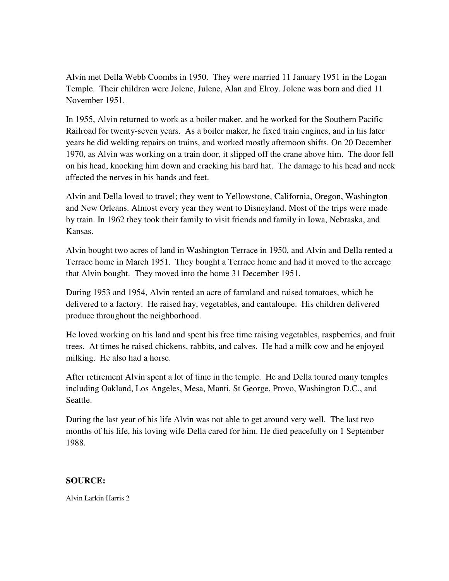Alvin met Della Webb Coombs in 1950. They were married 11 January 1951 in the Logan Temple. Their children were Jolene, Julene, Alan and Elroy. Jolene was born and died 11 November 1951.

In 1955, Alvin returned to work as a boiler maker, and he worked for the Southern Pacific Railroad for twenty-seven years. As a boiler maker, he fixed train engines, and in his later years he did welding repairs on trains, and worked mostly afternoon shifts. On 20 December 1970, as Alvin was working on a train door, it slipped off the crane above him. The door fell on his head, knocking him down and cracking his hard hat. The damage to his head and neck affected the nerves in his hands and feet.

Alvin and Della loved to travel; they went to Yellowstone, California, Oregon, Washington and New Orleans. Almost every year they went to Disneyland. Most of the trips were made by train. In 1962 they took their family to visit friends and family in Iowa, Nebraska, and Kansas.

Alvin bought two acres of land in Washington Terrace in 1950, and Alvin and Della rented a Terrace home in March 1951. They bought a Terrace home and had it moved to the acreage that Alvin bought. They moved into the home 31 December 1951.

During 1953 and 1954, Alvin rented an acre of farmland and raised tomatoes, which he delivered to a factory. He raised hay, vegetables, and cantaloupe. His children delivered produce throughout the neighborhood.

He loved working on his land and spent his free time raising vegetables, raspberries, and fruit trees. At times he raised chickens, rabbits, and calves. He had a milk cow and he enjoyed milking. He also had a horse.

After retirement Alvin spent a lot of time in the temple. He and Della toured many temples including Oakland, Los Angeles, Mesa, Manti, St George, Provo, Washington D.C., and Seattle.

During the last year of his life Alvin was not able to get around very well. The last two months of his life, his loving wife Della cared for him. He died peacefully on 1 September 1988.

## **SOURCE:**

Alvin Larkin Harris 2